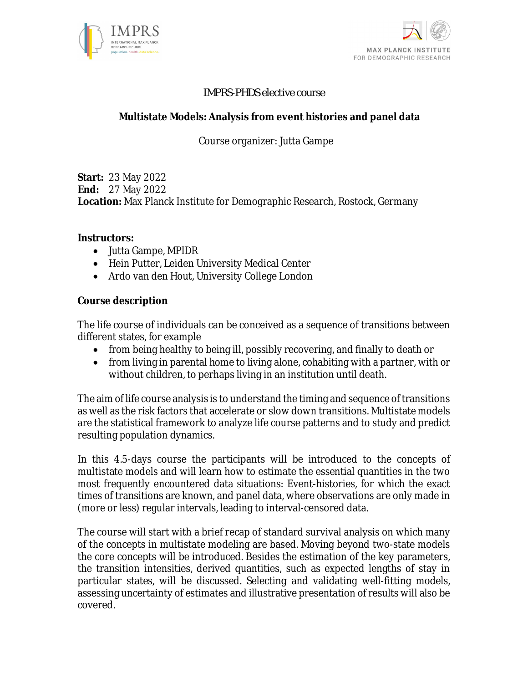



#### *IMPRS-PHDS elective course*

### **Multistate Models: Analysis from event histories and panel data**

## Course organizer: Jutta Gampe

**Start:** 23 May 2022 **End:** 27 May 2022 **Location:** Max Planck Institute for Demographic Research, Rostock, Germany

**Instructors:**

- Jutta Gampe, MPIDR
- Hein Putter, Leiden University Medical Center
- Ardo van den Hout, University College London

**Course description**

The life course of individuals can be conceived as a sequence of transitions between different states, for example

- from being healthy to being ill, possibly recovering, and finally to death or
- from living in parental home to living alone, cohabiting with a partner, with or without children, to perhaps living in an institution until death.

The aim of life course analysis is to understand the timing and sequence of transitions as well as the risk factors that accelerate or slow down transitions. Multistate models are the statistical framework to analyze life course patterns and to study and predict resulting population dynamics.

In this 4.5-days course the participants will be introduced to the concepts of multistate models and will learn how to estimate the essential quantities in the two most frequently encountered data situations: Event-histories, for which the exact times of transitions are known, and panel data, where observations are only made in (more or less) regular intervals, leading to interval-censored data.

The course will start with a brief recap of standard survival analysis on which many of the concepts in multistate modeling are based. Moving beyond two-state models the core concepts will be introduced. Besides the estimation of the key parameters, the transition intensities, derived quantities, such as expected lengths of stay in particular states, will be discussed. Selecting and validating well-fitting models, assessing uncertainty of estimates and illustrative presentation of results will also be covered.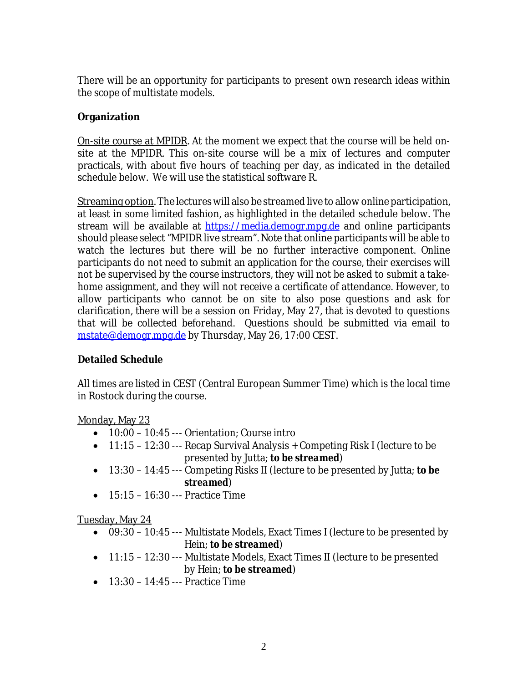There will be an opportunity for participants to present own research ideas within the scope of multistate models.

### **Organization**

On-site course at MPIDR. At the moment we expect that the course will be held onsite at the MPIDR. This on-site course will be a mix of lectures and computer practicals, with about five hours of teaching per day, as indicated in the detailed schedule below. We will use the statistical software R.

Streaming option. The lectures will also be streamed live to allow online participation, at least in some limited fashion, as highlighted in the detailed schedule below. The stream will be available at [https://media.demogr.mpg.de](https://media.demogr.mpg.de/) and online participants should please select "MPIDR live stream". Note that online participants will be able to watch the lectures but there will be no further interactive component. Online participants do not need to submit an application for the course, their exercises will not be supervised by the course instructors, they will not be asked to submit a takehome assignment, and they will not receive a certificate of attendance. However, to allow participants who cannot be on site to also pose questions and ask for clarification, there will be a session on Friday, May 27, that is devoted to questions that will be collected beforehand. Questions should be submitted via email to [mstate@demogr.mpg.de](mailto:mstate@demogr.mpg.de) by Thursday, May 26, 17:00 CEST.

#### **Detailed Schedule**

All times are listed in CEST (Central European Summer Time) which is the local time in Rostock during the course.

#### Monday, May 23

- 10:00 10:45 --- Orientation; Course intro
- 11:15 12:30 --- Recap Survival Analysis + Competing Risk I (lecture to be presented by Jutta; *to be streamed*)
- 13:30 14:45 --- Competing Risks II (lecture to be presented by Jutta; *to be streamed*)
- $\bullet$  15:15 16:30 --- Practice Time

### Tuesday, May 24

- 09:30 10:45 --- Multistate Models, Exact Times I (lecture to be presented by Hein; *to be streamed*)
- 11:15 12:30 --- Multistate Models, Exact Times II (lecture to be presented by Hein; *to be streamed*)
- $-13:30 14:45 P$  Practice Time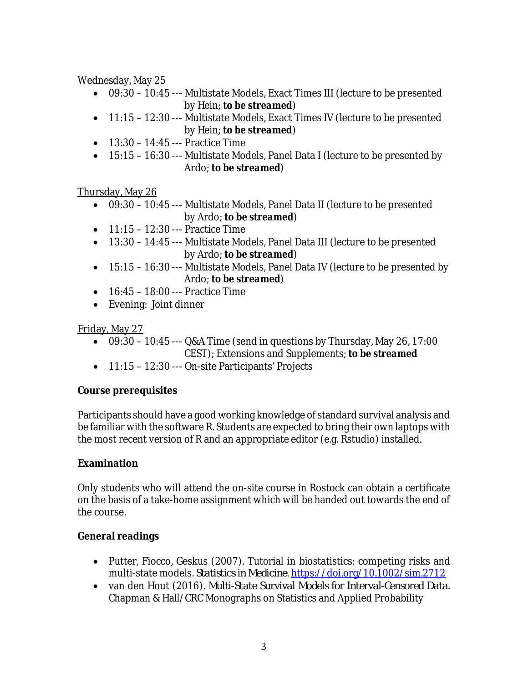Wednesday, May 25

- 09:30 10:45 --- Multistate Models, Exact Times III (lecture to be presented by Hein; *to be streamed*)
- 11:15 12:30 --- Multistate Models, Exact Times IV (lecture to be presented by Hein; *to be streamed*)
- 13:30 14:45 --- Practice Time
- 15:15 16:30 --- Multistate Models, Panel Data I (lecture to be presented by Ardo; *to be streamed*)

Thursday, May 26

- 09:30 10:45 --- Multistate Models, Panel Data II (lecture to be presented by Ardo; *to be streamed*)
- $\bullet$  11:15 12:30 --- Practice Time
- 13:30 14:45 --- Multistate Models, Panel Data III (lecture to be presented by Ardo; *to be streamed*)
- 15:15 16:30 --- Multistate Models, Panel Data IV (lecture to be presented by Ardo; *to be streamed*)
- 16:45 18:00 --- Practice Time
- Evening: Joint dinner

## Friday, May 27

- $\bullet$  09:30 10:45 --- Q&A Time (send in questions by Thursday, May 26, 17:00 CEST); Extensions and Supplements; *to be streamed*
- 11:15 12:30 --- On-site Participants' Projects

# **Course prerequisites**

Participants should have a good working knowledge of standard survival analysis and be familiar with the software R. Students are expected to bring their own laptops with the most recent version of R and an appropriate editor (e.g. Rstudio) installed.

# **Examination**

Only students who will attend the on-site course in Rostock can obtain a certificate on the basis of a take-home assignment which will be handed out towards the end of the course.

# **General readings**

- Putter, Fiocco, Geskus (2007). Tutorial in biostatistics: competing risks and multi-state models. *Statistics in Medicine*. <https://doi.org/10.1002/sim.2712>
- van den Hout (2016). *Multi-State Survival Models for Interval-Censored Data*. Chapman & Hall/CRC Monographs on Statistics and Applied Probability